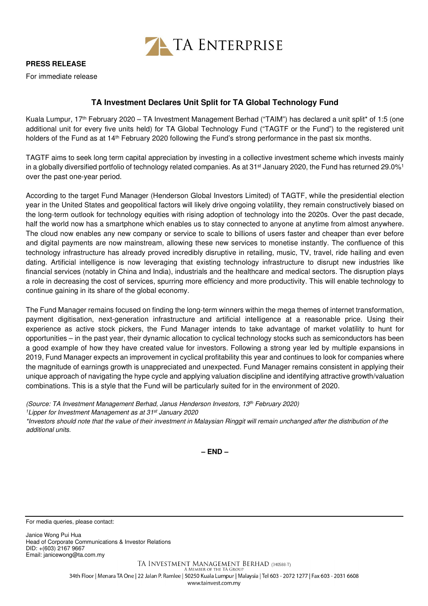

## **PRESS RELEASE**

For immediate release

## **TA Investment Declares Unit Split for TA Global Technology Fund**

Kuala Lumpur, 17th February 2020 – TA Investment Management Berhad ("TAIM") has declared a unit split\* of 1:5 (one additional unit for every five units held) for TA Global Technology Fund ("TAGTF or the Fund") to the registered unit holders of the Fund as at 14<sup>th</sup> February 2020 following the Fund's strong performance in the past six months.

TAGTF aims to seek long term capital appreciation by investing in a collective investment scheme which invests mainly in a globally diversified portfolio of technology related companies. As at  $31<sup>st</sup>$  January 2020, the Fund has returned 29.0%<sup>1</sup> over the past one-year period.

According to the target Fund Manager (Henderson Global Investors Limited) of TAGTF, while the presidential election year in the United States and geopolitical factors will likely drive ongoing volatility, they remain constructively biased on the long-term outlook for technology equities with rising adoption of technology into the 2020s. Over the past decade, half the world now has a smartphone which enables us to stay connected to anyone at anytime from almost anywhere. The cloud now enables any new company or service to scale to billions of users faster and cheaper than ever before and digital payments are now mainstream, allowing these new services to monetise instantly. The confluence of this technology infrastructure has already proved incredibly disruptive in retailing, music, TV, travel, ride hailing and even dating. Artificial intelligence is now leveraging that existing technology infrastructure to disrupt new industries like financial services (notably in China and India), industrials and the healthcare and medical sectors. The disruption plays a role in decreasing the cost of services, spurring more efficiency and more productivity. This will enable technology to continue gaining in its share of the global economy.

The Fund Manager remains focused on finding the long-term winners within the mega themes of internet transformation, payment digitisation, next-generation infrastructure and artificial intelligence at a reasonable price. Using their experience as active stock pickers, the Fund Manager intends to take advantage of market volatility to hunt for opportunities – in the past year, their dynamic allocation to cyclical technology stocks such as semiconductors has been a good example of how they have created value for investors. Following a strong year led by multiple expansions in 2019, Fund Manager expects an improvement in cyclical profitability this year and continues to look for companies where the magnitude of earnings growth is unappreciated and unexpected. Fund Manager remains consistent in applying their unique approach of navigating the hype cycle and applying valuation discipline and identifying attractive growth/valuation combinations. This is a style that the Fund will be particularly suited for in the environment of 2020.

(Source: TA Investment Management Berhad, Janus Henderson Investors, 13th February 2020)

<sup>1</sup> Lipper for Investment Management as at 31<sup>st</sup> January 2020

\*Investors should note that the value of their investment in Malaysian Ringgit will remain unchanged after the distribution of the additional units.

**– END –**

For media queries, please contact:

Janice Wong Pui Hua Head of Corporate Communications & Investor Relations DID: +(603) 2167 9667 Email: janicewong@ta.com.my